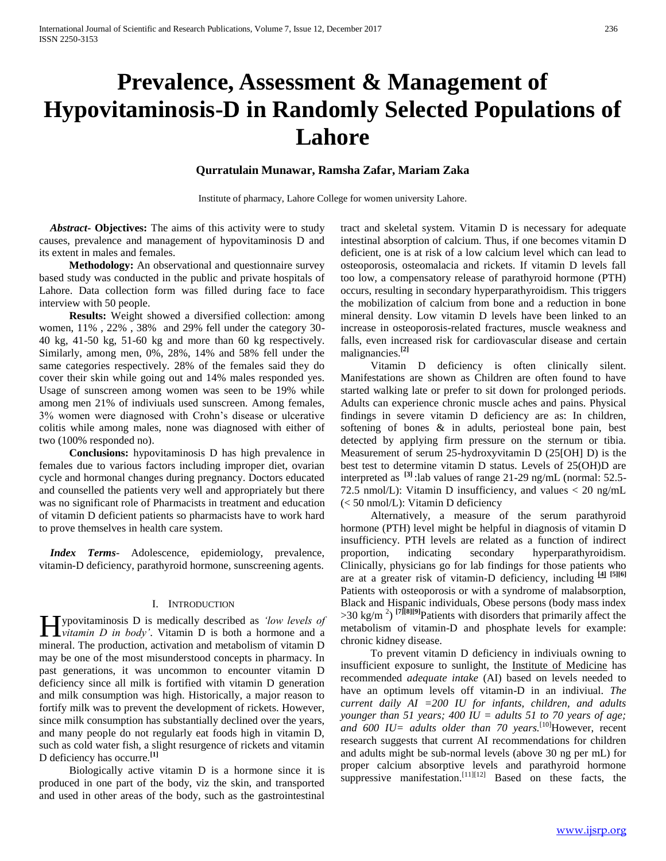# **Prevalence, Assessment & Management of Hypovitaminosis-D in Randomly Selected Populations of Lahore**

# **Qurratulain Munawar, Ramsha Zafar, Mariam Zaka**

Institute of pharmacy, Lahore College for women university Lahore.

 *Abstract***- Objectives:** The aims of this activity were to study causes, prevalence and management of hypovitaminosis D and its extent in males and females.

 **Methodology:** An observational and questionnaire survey based study was conducted in the public and private hospitals of Lahore. Data collection form was filled during face to face interview with 50 people.

 **Results:** Weight showed a diversified collection: among women, 11% , 22% , 38% and 29% fell under the category 30- 40 kg, 41-50 kg, 51-60 kg and more than 60 kg respectively. Similarly, among men, 0%, 28%, 14% and 58% fell under the same categories respectively. 28% of the females said they do cover their skin while going out and 14% males responded yes. Usage of sunscreen among women was seen to be 19% while among men 21% of indiviuals used sunscreen. Among females, 3% women were diagnosed with Crohn's disease or ulcerative colitis while among males, none was diagnosed with either of two (100% responded no).

 **Conclusions:** hypovitaminosis D has high prevalence in females due to various factors including improper diet, ovarian cycle and hormonal changes during pregnancy. Doctors educated and counselled the patients very well and appropriately but there was no significant role of Pharmacists in treatment and education of vitamin D deficient patients so pharmacists have to work hard to prove themselves in health care system.

 *Index Terms*- Adolescence, epidemiology, prevalence, vitamin-D deficiency, parathyroid hormone, sunscreening agents.

### I. INTRODUCTION

ypovitaminosis D is medically described as *'low levels of*  **H**ypovitaminosis D is medically described as *'low levels of vitamin D in body'*. Vitamin D is both a hormone and a mineral. The production, activation and metabolism of vitamin D may be one of the most misunderstood concepts in pharmacy. In past generations, it was uncommon to encounter vitamin D deficiency since all milk is fortified with vitamin D generation and milk consumption was high. Historically, a major reason to fortify milk was to prevent the development of rickets. However, since milk consumption has substantially declined over the years, and many people do not regularly eat foods high in vitamin D, such as cold water fish, a slight resurgence of rickets and vitamin D deficiency has occurre.**[1]**

 Biologically active vitamin D is a hormone since it is produced in one part of the body, viz the skin, and transported and used in other areas of the body, such as the gastrointestinal

tract and skeletal system. Vitamin D is necessary for adequate intestinal absorption of calcium. Thus, if one becomes vitamin D deficient, one is at risk of a low calcium level which can lead to osteoporosis, osteomalacia and rickets. If vitamin D levels fall too low, a compensatory release of parathyroid hormone (PTH) occurs, resulting in secondary hyperparathyroidism. This triggers the mobilization of calcium from bone and a reduction in bone mineral density. Low vitamin D levels have been linked to an increase in osteoporosis-related fractures, muscle weakness and falls, even increased risk for cardiovascular disease and certain malignancies.**[2]**

 Vitamin D deficiency is often clinically silent. Manifestations are shown as Children are often found to have started walking late or prefer to sit down for prolonged periods. Adults can experience chronic muscle aches and pains. Physical findings in severe vitamin D deficiency are as: In children, softening of bones & in adults, periosteal bone pain, best detected by applying firm pressure on the sternum or tibia. Measurement of serum 25-hydroxyvitamin D (25[OH] D) is the best test to determine vitamin D status. Levels of 25(OH)D are interpreted as **[3]** :lab values of range 21-29 ng/mL (normal: 52.5- 72.5 nmol/L): Vitamin D insufficiency, and values  $<$  20 ng/mL (< 50 nmol/L): Vitamin D deficiency

 Alternatively, a measure of the serum parathyroid hormone (PTH) level might be helpful in diagnosis of vitamin D insufficiency. PTH levels are related as a function of indirect proportion, indicating secondary hyperparathyroidism. Clinically, physicians go for lab findings for those patients who are at a greater risk of vitamin-D deficiency, including **[4] [5][6]** Patients with osteoporosis or with a syndrome of malabsorption, Black and Hispanic individuals, Obese persons (body mass index  $>$ 30 kg/m<sup>2</sup>)<sup>[7][8][9]</sup>Patients with disorders that primarily affect the metabolism of vitamin-D and phosphate levels for example: chronic kidney disease.

 To prevent vitamin D deficiency in indiviuals owning to insufficient exposure to sunlight, the Institute of Medicine has recommended *adequate intake* (AI) based on levels needed to have an optimum levels off vitamin-D in an indiviual. *The current daily AI =200 IU for infants, children, and adults younger than 51 years; 400 IU = adults 51 to 70 years of age; and 600 IU= adults older than 70 years.*[10]However, recent research suggests that current AI recommendations for children and adults might be sub-normal levels (above 30 ng per mL) for proper calcium absorptive levels and parathyroid hormone suppressive manifestation.<sup>[11][12]</sup> Based on these facts, the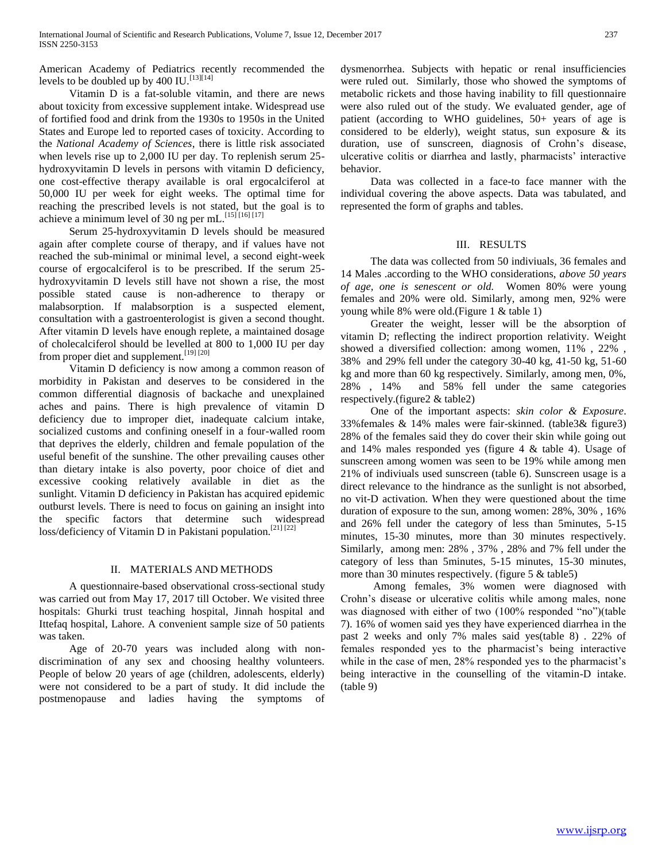American Academy of Pediatrics recently recommended the levels to be doubled up by  $400$  IU.<sup>[13][14]</sup>

 Vitamin D is a fat-soluble vitamin, and there are news about toxicity from excessive supplement intake. Widespread use of fortified food and drink from the 1930s to 1950s in the United States and Europe led to reported cases of toxicity. According to the *National Academy of Sciences*, there is little risk associated when levels rise up to 2,000 IU per day. To replenish serum 25 hydroxyvitamin D levels in persons with vitamin D deficiency, one cost-effective therapy available is oral ergocalciferol at 50,000 IU per week for eight weeks. The optimal time for reaching the prescribed levels is not stated, but the goal is to achieve a minimum level of 30 ng per mL.<sup>[15] [16] [17]</sup>

 Serum 25-hydroxyvitamin D levels should be measured again after complete course of therapy, and if values have not reached the sub-minimal or minimal level, a second eight-week course of ergocalciferol is to be prescribed. If the serum 25 hydroxyvitamin D levels still have not shown a rise, the most possible stated cause is non-adherence to therapy or malabsorption. If malabsorption is a suspected element, consultation with a gastroenterologist is given a second thought. After vitamin D levels have enough replete, a maintained dosage of cholecalciferol should be levelled at 800 to 1,000 IU per day from proper diet and supplement.<sup>[19] [20]</sup>

 Vitamin D deficiency is now among a common reason of morbidity in Pakistan and deserves to be considered in the common differential diagnosis of backache and unexplained aches and pains. There is high prevalence of vitamin D deficiency due to improper diet, inadequate calcium intake, socialized customs and confining oneself in a four-walled room that deprives the elderly, children and female population of the useful benefit of the sunshine. The other prevailing causes other than dietary intake is also poverty, poor choice of diet and excessive cooking relatively available in diet as the sunlight. Vitamin D deficiency in Pakistan has acquired epidemic outburst levels. There is need to focus on gaining an insight into the specific factors that determine such widespread loss/deficiency of Vitamin D in Pakistani population.<sup>[21] [22]</sup>

# II. MATERIALS AND METHODS

 A questionnaire-based observational cross-sectional study was carried out from May 17, 2017 till October. We visited three hospitals: Ghurki trust teaching hospital, Jinnah hospital and Ittefaq hospital, Lahore. A convenient sample size of 50 patients was taken.

 Age of 20-70 years was included along with nondiscrimination of any sex and choosing healthy volunteers. People of below 20 years of age (children, adolescents, elderly) were not considered to be a part of study. It did include the postmenopause and ladies having the symptoms of

dysmenorrhea. Subjects with hepatic or renal insufficiencies were ruled out. Similarly, those who showed the symptoms of metabolic rickets and those having inability to fill questionnaire were also ruled out of the study. We evaluated gender, age of patient (according to WHO guidelines, 50+ years of age is considered to be elderly), weight status, sun exposure & its duration, use of sunscreen, diagnosis of Crohn's disease, ulcerative colitis or diarrhea and lastly, pharmacists' interactive behavior.

 Data was collected in a face-to face manner with the individual covering the above aspects. Data was tabulated, and represented the form of graphs and tables.

#### III. RESULTS

 The data was collected from 50 indiviuals, 36 females and 14 Males .according to the WHO considerations, *above 50 years of age, one is senescent or old.* Women 80% were young females and 20% were old. Similarly, among men, 92% were young while 8% were old.(Figure 1 & table 1)

 Greater the weight, lesser will be the absorption of vitamin D; reflecting the indirect proportion relativity. Weight showed a diversified collection: among women, 11% , 22% , 38% and 29% fell under the category 30-40 kg, 41-50 kg, 51-60 kg and more than 60 kg respectively. Similarly, among men, 0%, 28% , 14% and 58% fell under the same categories respectively.(figure2 & table2)

 One of the important aspects: *skin color & Exposure*. 33%females & 14% males were fair-skinned. (table3& figure3) 28% of the females said they do cover their skin while going out and 14% males responded yes (figure 4 & table 4). Usage of sunscreen among women was seen to be 19% while among men 21% of indiviuals used sunscreen (table 6). Sunscreen usage is a direct relevance to the hindrance as the sunlight is not absorbed, no vit-D activation. When they were questioned about the time duration of exposure to the sun, among women: 28%, 30% , 16% and 26% fell under the category of less than 5minutes, 5-15 minutes, 15-30 minutes, more than 30 minutes respectively. Similarly, among men: 28% , 37% , 28% and 7% fell under the category of less than 5minutes, 5-15 minutes, 15-30 minutes, more than 30 minutes respectively. (figure  $5 \&$  table 5)

 Among females, 3% women were diagnosed with Crohn's disease or ulcerative colitis while among males, none was diagnosed with either of two (100% responded "no")(table 7). 16% of women said yes they have experienced diarrhea in the past 2 weeks and only 7% males said yes(table 8) . 22% of females responded yes to the pharmacist's being interactive while in the case of men, 28% responded yes to the pharmacist's being interactive in the counselling of the vitamin-D intake. (table 9)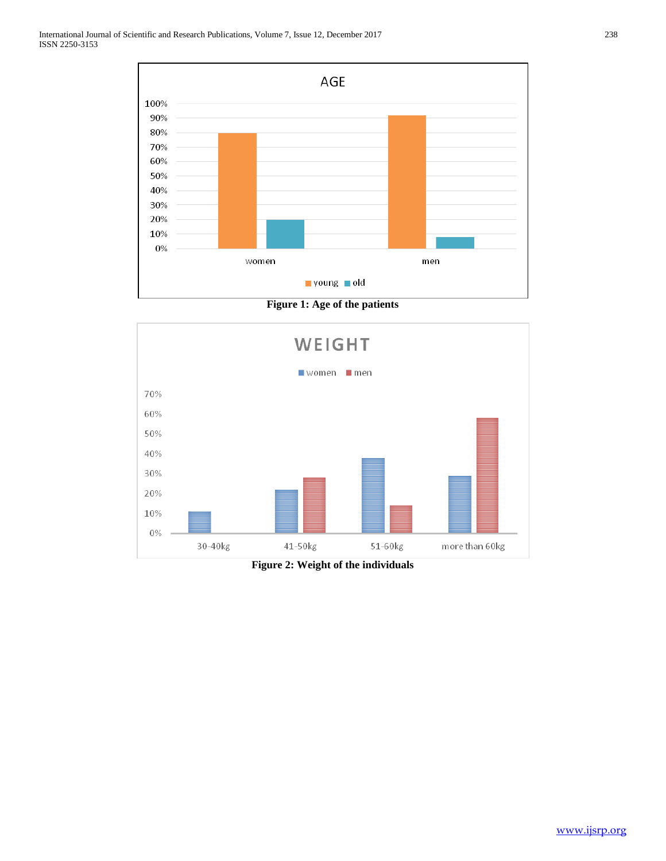

**Figure 1: Age of the patients**



**Figure 2: Weight of the individuals**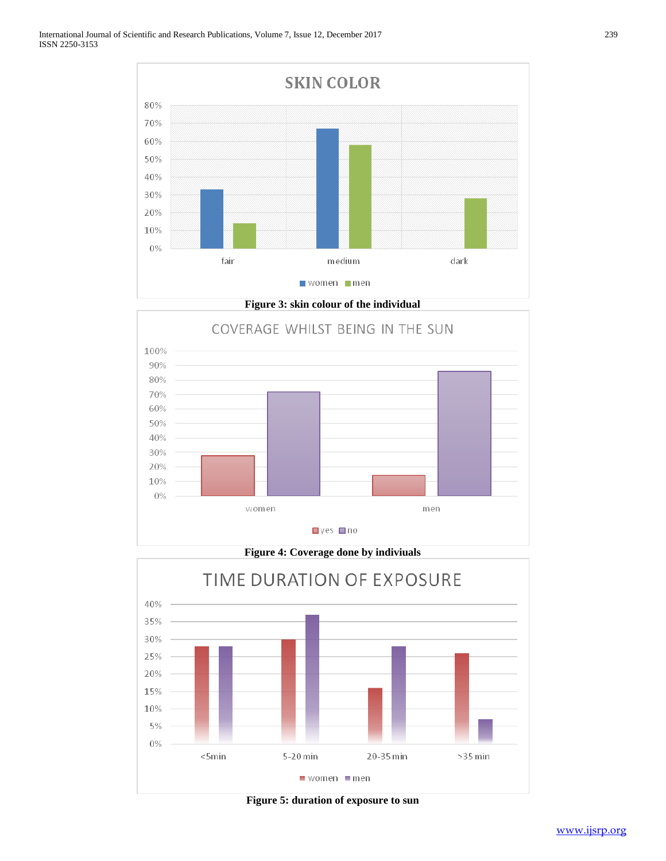

**Figure 3: skin colour of the individual**



**Figure 4: Coverage done by indiviuals** TIME DURATION OF EXPOSURE 40% 35% 30% 25% 20% 15% 10% 5%  $0\%$  $<$ 5min 5-20 min 20-35 min >35 min  $\blacksquare$  women  $\blacksquare$  men

**Figure 5: duration of exposure to sun**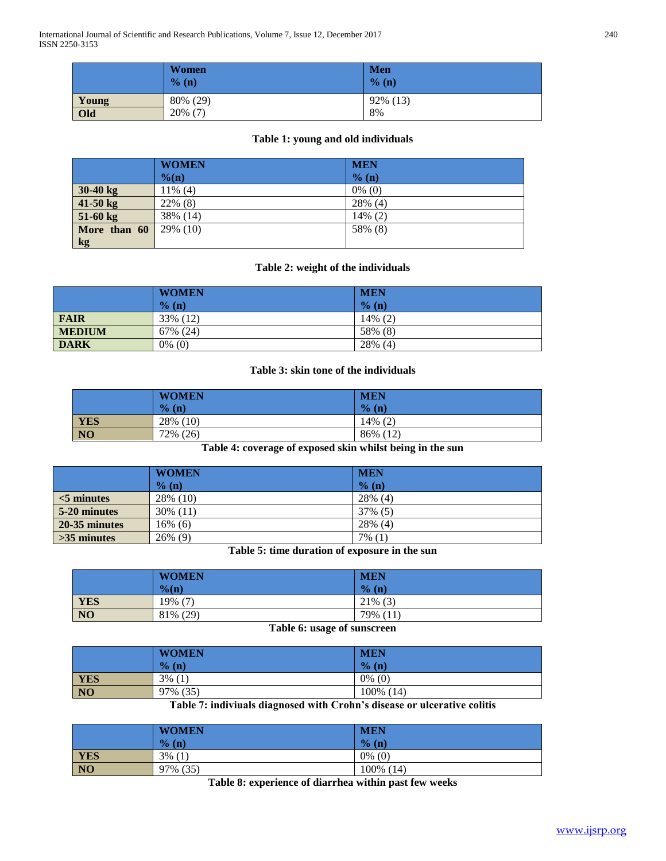International Journal of Scientific and Research Publications, Volume 7, Issue 12, December 2017 240 ISSN 2250-3153

|       | <b>Women</b><br>% (n) | <b>Men</b><br>$\%$ (n) |
|-------|-----------------------|------------------------|
| Young | 80% (29)              | 92% (13)               |
| Old   | $20\%$ (7)            | 8%                     |

# **Table 1: young and old individuals**

|               | <b>WOMEN</b>     | <b>MEN</b> |
|---------------|------------------|------------|
|               | $\%(\mathbf{n})$ | % (n)      |
| $30-40$ kg    | $11\%$ (4)       | $0\%$ (0)  |
| $41-50$ kg    | 22% (8)          | 28% (4)    |
| $51-60$ kg    | 38% (14)         | $14\%$ (2) |
| More than 60  | 29% (10)         | 58% (8)    |
| $\mathbf{kg}$ |                  |            |

# **Table 2: weight of the individuals**

|               | <b>WOMEN</b> | <b>MEN</b> |
|---------------|--------------|------------|
|               | % (n)        | $\%$ (n)   |
| <b>FAIR</b>   | 33% (12)     | 14% (2)    |
| <b>MEDIUM</b> | 67% (24)     | 58% (8)    |
| <b>DARK</b>   | $0\%$ (0)    | $28\%$ (4) |

# **Table 3: skin tone of the individuals**

|                  | <b>WOMEN</b> | <b>MEN</b> |
|------------------|--------------|------------|
|                  | $%$ (n)      | % (n)      |
|                  | 28% (10)     | $14\%$ (2) |
| <b>YES</b><br>NO | 72% (26)     | 86% (12)   |

**Table 4: coverage of exposed skin whilst being in the sun**

|               | <b>WOMEN</b> | <b>MEN</b> |
|---------------|--------------|------------|
|               | $%$ (n)      | % (n)      |
| $<$ 5 minutes | 28% (10)     | 28% (4)    |
| 5-20 minutes  | 30% (11)     | 37% (5)    |
| 20-35 minutes | 16% (6)      | 28% (4)    |
| $>35$ minutes | $26\%$ (9)   | $7\%$ (1)  |

**Table 5: time duration of exposure in the sun**

|                | <b>WOMEN</b><br>$\%$ (n) | <b>MEN</b><br>$\frac{1}{2}$<br>(n) |
|----------------|--------------------------|------------------------------------|
| <b>YES</b>     | $\sqrt{2}$<br>19%        | $21\%$ (3)                         |
| N <sub>0</sub> | 81\% (29)                | $79\%$<br>(11)                     |

**Table 6: usage of sunscreen**

|                | <b>WOMEN</b> | <b>MEN</b> |
|----------------|--------------|------------|
|                | % (n)        | % (n)      |
| YES            | $3\%$ (1)    | $0\%$ (0)  |
| $\overline{N}$ | 97% (35)     | 100% (14)  |

**Table 7: indiviuals diagnosed with Crohn's disease or ulcerative colitis**

|            | <b>WOMEN</b>   | <b>MEN</b>   |
|------------|----------------|--------------|
|            | $\%$ (n)       | $\%$ (n)     |
| <b>YES</b> | 3%<br><b>U</b> | $0\%$ (0)    |
| <b>NO</b>  | (35)<br>97%    | 100%<br>(14) |

**Table 8: experience of diarrhea within past few weeks**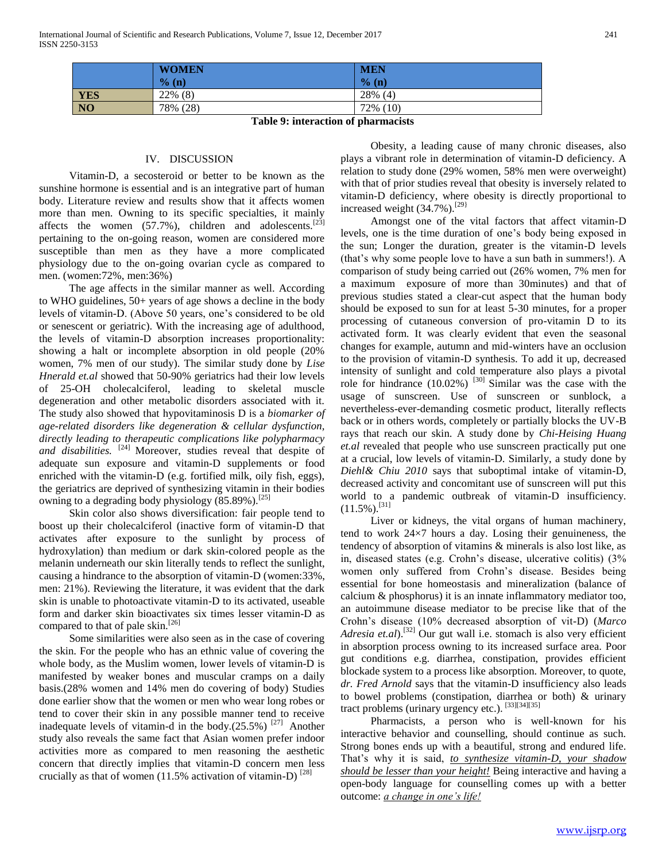|           | <b>WOMEN</b> | <b>MEN</b> |
|-----------|--------------|------------|
|           | % (n)        | % (n)      |
| YES       | $22\%$ (8)   | $28\%$ (4) |
| <b>NO</b> | 78% (28)     | 72% (10)   |

**Table 9: interaction of pharmacists**

#### IV. DISCUSSION

 Vitamin-D, a secosteroid or better to be known as the sunshine hormone is essential and is an integrative part of human body. Literature review and results show that it affects women more than men. Owning to its specific specialties, it mainly affects the women  $(57.7\%)$ , children and adolescents.<sup>[23]</sup> pertaining to the on-going reason, women are considered more susceptible than men as they have a more complicated physiology due to the on-going ovarian cycle as compared to men. (women:72%, men:36%)

 The age affects in the similar manner as well. According to WHO guidelines, 50+ years of age shows a decline in the body levels of vitamin-D. (Above 50 years, one's considered to be old or senescent or geriatric). With the increasing age of adulthood, the levels of vitamin-D absorption increases proportionality: showing a halt or incomplete absorption in old people (20% women, 7% men of our study). The similar study done by *Lise Hnerald et.al* showed that 50-90% geriatrics had their low levels of 25-OH cholecalciferol, leading to skeletal muscle degeneration and other metabolic disorders associated with it. The study also showed that hypovitaminosis D is a *biomarker of age-related disorders like degeneration & cellular dysfunction, directly leading to therapeutic complications like polypharmacy and disabilities.* [24] Moreover, studies reveal that despite of adequate sun exposure and vitamin-D supplements or food enriched with the vitamin-D (e.g. fortified milk, oily fish, eggs), the geriatrics are deprived of synthesizing vitamin in their bodies owning to a degrading body physiology  $(85.89\%)$ .<sup>[25]</sup>

 Skin color also shows diversification: fair people tend to boost up their cholecalciferol (inactive form of vitamin-D that activates after exposure to the sunlight by process of hydroxylation) than medium or dark skin-colored people as the melanin underneath our skin literally tends to reflect the sunlight, causing a hindrance to the absorption of vitamin-D (women:33%, men: 21%). Reviewing the literature, it was evident that the dark skin is unable to photoactivate vitamin-D to its activated, useable form and darker skin bioactivates six times lesser vitamin-D as compared to that of pale skin.<sup>[26]</sup>

 Some similarities were also seen as in the case of covering the skin. For the people who has an ethnic value of covering the whole body, as the Muslim women, lower levels of vitamin-D is manifested by weaker bones and muscular cramps on a daily basis.(28% women and 14% men do covering of body) Studies done earlier show that the women or men who wear long robes or tend to cover their skin in any possible manner tend to receive inadequate levels of vitamin-d in the body. $(25.5\%)$ <sup>[27]</sup> Another study also reveals the same fact that Asian women prefer indoor activities more as compared to men reasoning the aesthetic concern that directly implies that vitamin-D concern men less crucially as that of women (11.5% activation of vitamin-D) $^{[28]}$ 

 Obesity, a leading cause of many chronic diseases, also plays a vibrant role in determination of vitamin-D deficiency. A relation to study done (29% women, 58% men were overweight) with that of prior studies reveal that obesity is inversely related to vitamin-D deficiency, where obesity is directly proportional to increased weight (34.7%).<sup>[29]</sup>

 Amongst one of the vital factors that affect vitamin-D levels, one is the time duration of one's body being exposed in the sun; Longer the duration, greater is the vitamin-D levels (that's why some people love to have a sun bath in summers!). A comparison of study being carried out (26% women, 7% men for a maximum exposure of more than 30minutes) and that of previous studies stated a clear-cut aspect that the human body should be exposed to sun for at least 5-30 minutes, for a proper processing of cutaneous conversion of pro-vitamin D to its activated form. It was clearly evident that even the seasonal changes for example, autumn and mid-winters have an occlusion to the provision of vitamin-D synthesis. To add it up, decreased intensity of sunlight and cold temperature also plays a pivotal role for hindrance  $(10.02\%)$ <sup>[30]</sup> Similar was the case with the usage of sunscreen. Use of sunscreen or sunblock, a nevertheless-ever-demanding cosmetic product, literally reflects back or in others words, completely or partially blocks the UV-B rays that reach our skin. A study done by *Chi-Heising Huang et.al* revealed that people who use sunscreen practically put one at a crucial, low levels of vitamin-D. Similarly, a study done by *Diehl& Chiu 2010* says that suboptimal intake of vitamin-D, decreased activity and concomitant use of sunscreen will put this world to a pandemic outbreak of vitamin-D insufficiency.  $(11.5\%)$ .<sup>[31]</sup>

 Liver or kidneys, the vital organs of human machinery, tend to work 24×7 hours a day. Losing their genuineness, the tendency of absorption of vitamins & minerals is also lost like, as in, diseased states (e.g. Crohn's disease, ulcerative colitis) (3% women only suffered from Crohn's disease. Besides being essential for bone homeostasis and mineralization (balance of calcium & phosphorus) it is an innate inflammatory mediator too, an autoimmune disease mediator to be precise like that of the Crohn's disease (10% decreased absorption of vit-D) (*Marco Adresia et.al*).[32] Our gut wall i.e. stomach is also very efficient in absorption process owning to its increased surface area. Poor gut conditions e.g. diarrhea, constipation, provides efficient blockade system to a process like absorption. Moreover, to quote, *dr. Fred Arnold* says that the vitamin-D insufficiency also leads to bowel problems (constipation, diarrhea or both) & urinary tract problems (urinary urgency etc.). [33][34][35]

 Pharmacists, a person who is well-known for his interactive behavior and counselling, should continue as such. Strong bones ends up with a beautiful, strong and endured life. That's why it is said, *to synthesize vitamin-D, your shadow should be lesser than your height!* Being interactive and having a open-body language for counselling comes up with a better outcome: *a change in one's life!*